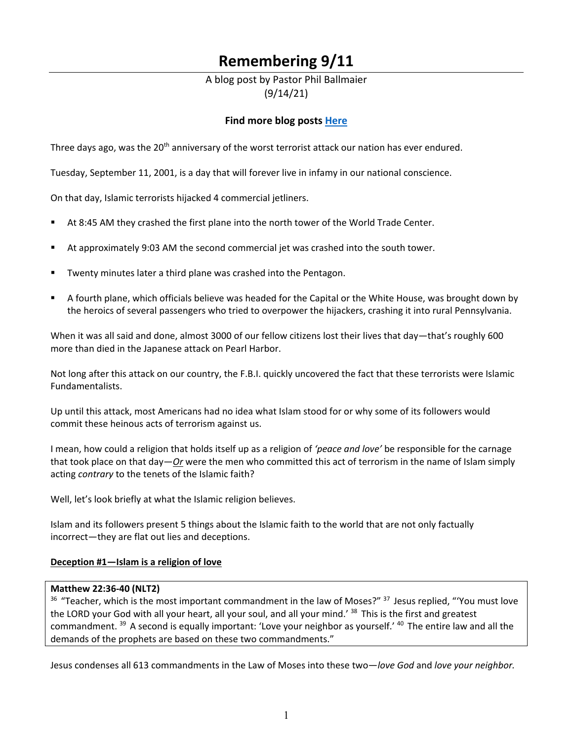# **Remembering 9/11**

# A blog post by Pastor Phil Ballmaier (9/14/21)

# **Find more blog posts [Here](https://www.ccelkgrove.org/pastors-blog)**

Three days ago, was the 20<sup>th</sup> anniversary of the worst terrorist attack our nation has ever endured.

Tuesday, September 11, 2001, is a day that will forever live in infamy in our national conscience.

On that day, Islamic terrorists hijacked 4 commercial jetliners.

- At 8:45 AM they crashed the first plane into the north tower of the World Trade Center.
- At approximately 9:03 AM the second commercial jet was crashed into the south tower.
- Twenty minutes later a third plane was crashed into the Pentagon.
- A fourth plane, which officials believe was headed for the Capital or the White House, was brought down by the heroics of several passengers who tried to overpower the hijackers, crashing it into rural Pennsylvania.

When it was all said and done, almost 3000 of our fellow citizens lost their lives that day—that's roughly 600 more than died in the Japanese attack on Pearl Harbor.

Not long after this attack on our country, the F.B.I. quickly uncovered the fact that these terrorists were Islamic Fundamentalists.

Up until this attack, most Americans had no idea what Islam stood for or why some of its followers would commit these heinous acts of terrorism against us.

I mean, how could a religion that holds itself up as a religion of *'peace and love'* be responsible for the carnage that took place on that day—*Or* were the men who committed this act of terrorism in the name of Islam simply acting *contrary* to the tenets of the Islamic faith?

Well, let's look briefly at what the Islamic religion believes.

Islam and its followers present 5 things about the Islamic faith to the world that are not only factually incorrect—they are flat out lies and deceptions.

### **Deception #1—Islam is a religion of love**

### **Matthew 22:36-40 (NLT2)**

<sup>36</sup> "Teacher, which is the most important commandment in the law of Moses?" <sup>37</sup> Jesus replied, "'You must love the LORD your God with all your heart, all your soul, and all your mind.<sup>' 38</sup> This is the first and greatest commandment. <sup>39</sup> A second is equally important: 'Love your neighbor as yourself.' <sup>40</sup> The entire law and all the demands of the prophets are based on these two commandments."

Jesus condenses all 613 commandments in the Law of Moses into these two—*love God* and *love your neighbor.*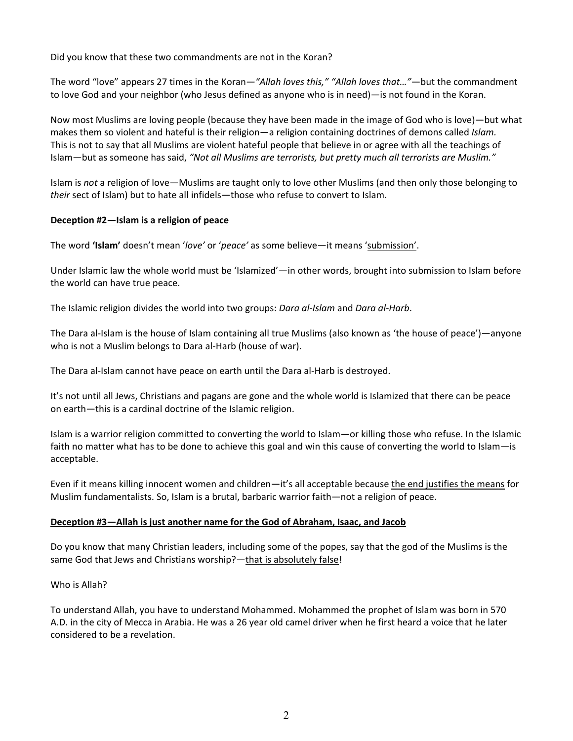Did you know that these two commandments are not in the Koran?

The word "love" appears 27 times in the Koran*—"Allah loves this," "Allah loves that…"*—but the commandment to love God and your neighbor (who Jesus defined as anyone who is in need)—is not found in the Koran.

Now most Muslims are loving people (because they have been made in the image of God who is love)—but what makes them so violent and hateful is their religion—a religion containing doctrines of demons called *Islam.* This is not to say that all Muslims are violent hateful people that believe in or agree with all the teachings of Islam—but as someone has said, *"Not all Muslims are terrorists, but pretty much all terrorists are Muslim."*

Islam is *not* a religion of love—Muslims are taught only to love other Muslims (and then only those belonging to *their* sect of Islam) but to hate all infidels—those who refuse to convert to Islam.

### **Deception #2—Islam is a religion of peace**

The word **'Islam'** doesn't mean '*love'* or '*peace'* as some believe—it means 'submission'.

Under Islamic law the whole world must be 'Islamized'—in other words, brought into submission to Islam before the world can have true peace.

The Islamic religion divides the world into two groups: *Dara al-Islam* and *Dara al-Harb*.

The Dara al-Islam is the house of Islam containing all true Muslims (also known as 'the house of peace')—anyone who is not a Muslim belongs to Dara al-Harb (house of war).

The Dara al-Islam cannot have peace on earth until the Dara al-Harb is destroyed.

It's not until all Jews, Christians and pagans are gone and the whole world is Islamized that there can be peace on earth—this is a cardinal doctrine of the Islamic religion.

Islam is a warrior religion committed to converting the world to Islam—or killing those who refuse. In the Islamic faith no matter what has to be done to achieve this goal and win this cause of converting the world to Islam—is acceptable.

Even if it means killing innocent women and children—it's all acceptable because the end justifies the means for Muslim fundamentalists. So, Islam is a brutal, barbaric warrior faith—not a religion of peace.

#### **Deception #3—Allah is just another name for the God of Abraham, Isaac, and Jacob**

Do you know that many Christian leaders, including some of the popes, say that the god of the Muslims is the same God that Jews and Christians worship?—that is absolutely false!

#### Who is Allah?

To understand Allah, you have to understand Mohammed. Mohammed the prophet of Islam was born in 570 A.D. in the city of Mecca in Arabia. He was a 26 year old camel driver when he first heard a voice that he later considered to be a revelation.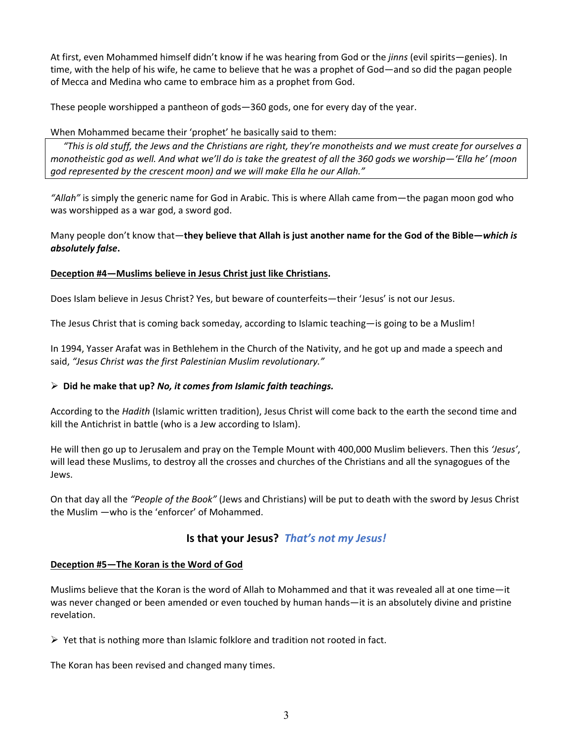At first, even Mohammed himself didn't know if he was hearing from God or the *jinns* (evil spirits—genies). In time, with the help of his wife, he came to believe that he was a prophet of God—and so did the pagan people of Mecca and Medina who came to embrace him as a prophet from God.

These people worshipped a pantheon of gods—360 gods, one for every day of the year.

## When Mohammed became their 'prophet' he basically said to them:

*"This is old stuff, the Jews and the Christians are right, they're monotheists and we must create for ourselves a monotheistic god as well. And what we'll do is take the greatest of all the 360 gods we worship—'Ella he' (moon god represented by the crescent moon) and we will make Ella he our Allah."* 

*"Allah"* is simply the generic name for God in Arabic. This is where Allah came from—the pagan moon god who was worshipped as a war god, a sword god.

Many people don't know that—**they believe that Allah is just another name for the God of the Bible—***which is absolutely false***.**

### **Deception #4—Muslims believe in Jesus Christ just like Christians.**

Does Islam believe in Jesus Christ? Yes, but beware of counterfeits—their 'Jesus' is not our Jesus.

The Jesus Christ that is coming back someday, according to Islamic teaching—is going to be a Muslim!

In 1994, Yasser Arafat was in Bethlehem in the Church of the Nativity, and he got up and made a speech and said, *"Jesus Christ was the first Palestinian Muslim revolutionary."*

## **Did he make that up?** *No, it comes from Islamic faith teachings.*

According to the *Hadith* (Islamic written tradition), Jesus Christ will come back to the earth the second time and kill the Antichrist in battle (who is a Jew according to Islam).

He will then go up to Jerusalem and pray on the Temple Mount with 400,000 Muslim believers. Then this *'Jesus'*, will lead these Muslims, to destroy all the crosses and churches of the Christians and all the synagogues of the Jews.

On that day all the *"People of the Book"* (Jews and Christians) will be put to death with the sword by Jesus Christ the Muslim —who is the 'enforcer' of Mohammed.

# **Is that your Jesus?** *That's not my Jesus!*

### **Deception #5—The Koran is the Word of God**

Muslims believe that the Koran is the word of Allah to Mohammed and that it was revealed all at one time—it was never changed or been amended or even touched by human hands—it is an absolutely divine and pristine revelation.

 $\triangleright$  Yet that is nothing more than Islamic folklore and tradition not rooted in fact.

The Koran has been revised and changed many times.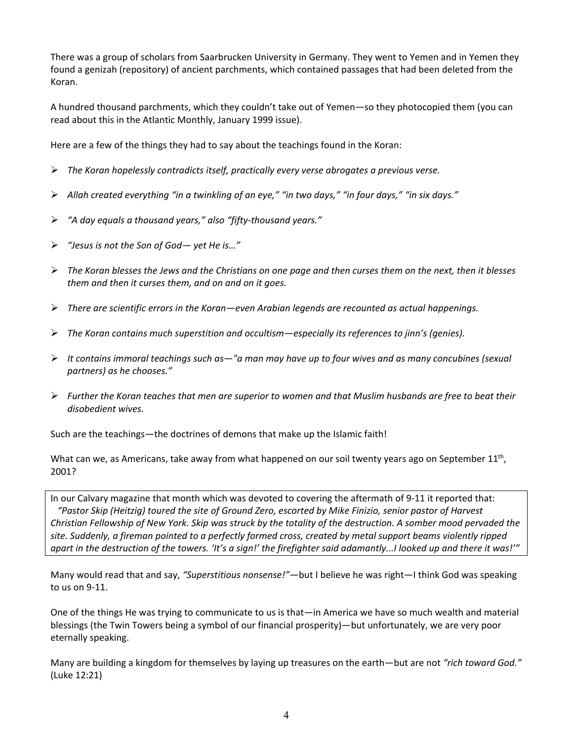There was a group of scholars from Saarbrucken University in Germany. They went to Yemen and in Yemen they found a genizah (repository) of ancient parchments, which contained passages that had been deleted from the Koran.

A hundred thousand parchments, which they couldn't take out of Yemen—so they photocopied them (you can read about this in the Atlantic Monthly, January 1999 issue).

Here are a few of the things they had to say about the teachings found in the Koran:

- *The Koran hopelessly contradicts itself, practically every verse abrogates a previous verse.*
- *Allah created everything "in a twinkling of an eye," "in two days," "in four days," "in six days."*
- *"A day equals a thousand years," also "fifty-thousand years."*
- *"Jesus is not the Son of God— yet He is…"*
- *The Koran blesses the Jews and the Christians on one page and then curses them on the next, then it blesses them and then it curses them, and on and on it goes.*
- *There are scientific errors in the Koran—even Arabian legends are recounted as actual happenings.*
- *The Koran contains much superstition and occultism—especially its references to jinn's (genies).*
- *It contains immoral teachings such as—"a man may have up to four wives and as many concubines (sexual partners) as he chooses."*
- *Further the Koran teaches that men are superior to women and that Muslim husbands are free to beat their disobedient wives.*

Such are the teachings—the doctrines of demons that make up the Islamic faith!

What can we, as Americans, take away from what happened on our soil twenty years ago on September  $11^{th}$ , 2001?

In our Calvary magazine that month which was devoted to covering the aftermath of 9-11 it reported that:  *"Pastor Skip (Heitzig) toured the site of Ground Zero, escorted by Mike Finizio, senior pastor of Harvest Christian Fellowship of New York. Skip was struck by the totality of the destruction. A somber mood pervaded the site. Suddenly, a fireman pointed to a perfectly formed cross, created by metal support beams violently ripped apart in the destruction of the towers. 'It's a sign!' the firefighter said adamantly...I looked up and there it was!'"*

Many would read that and say, *"Superstitious nonsense!"—*but I believe he was right—I think God was speaking to us on 9-11.

One of the things He was trying to communicate to us is that—in America we have so much wealth and material blessings (the Twin Towers being a symbol of our financial prosperity)—but unfortunately, we are very poor eternally speaking.

Many are building a kingdom for themselves by laying up treasures on the earth—but are not *"rich toward God."*  (Luke 12:21)